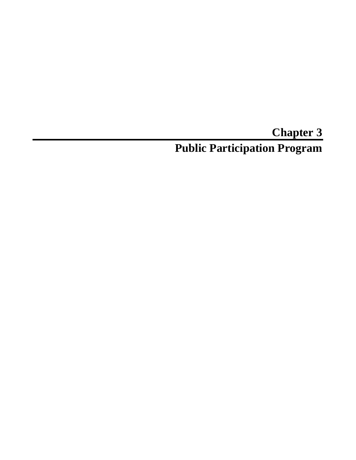# **Chapter 3 Public Participation Program**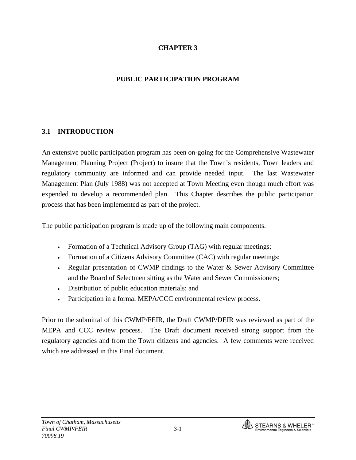#### **CHAPTER 3**

#### **PUBLIC PARTICIPATION PROGRAM**

#### **3.1 INTRODUCTION**

An extensive public participation program has been on-going for the Comprehensive Wastewater Management Planning Project (Project) to insure that the Town's residents, Town leaders and regulatory community are informed and can provide needed input. The last Wastewater Management Plan (July 1988) was not accepted at Town Meeting even though much effort was expended to develop a recommended plan. This Chapter describes the public participation process that has been implemented as part of the project.

The public participation program is made up of the following main components.

- Formation of a Technical Advisory Group (TAG) with regular meetings;
- Formation of a Citizens Advisory Committee (CAC) with regular meetings;
- Regular presentation of CWMP findings to the Water & Sewer Advisory Committee and the Board of Selectmen sitting as the Water and Sewer Commissioners;
- Distribution of public education materials; and
- Participation in a formal MEPA/CCC environmental review process.

Prior to the submittal of this CWMP/FEIR, the Draft CWMP/DEIR was reviewed as part of the MEPA and CCC review process. The Draft document received strong support from the regulatory agencies and from the Town citizens and agencies. A few comments were received which are addressed in this Final document.

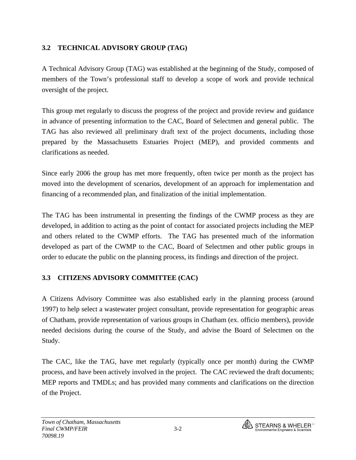# **3.2 TECHNICAL ADVISORY GROUP (TAG)**

A Technical Advisory Group (TAG) was established at the beginning of the Study, composed of members of the Town's professional staff to develop a scope of work and provide technical oversight of the project.

This group met regularly to discuss the progress of the project and provide review and guidance in advance of presenting information to the CAC, Board of Selectmen and general public. The TAG has also reviewed all preliminary draft text of the project documents, including those prepared by the Massachusetts Estuaries Project (MEP), and provided comments and clarifications as needed.

Since early 2006 the group has met more frequently, often twice per month as the project has moved into the development of scenarios, development of an approach for implementation and financing of a recommended plan, and finalization of the initial implementation.

The TAG has been instrumental in presenting the findings of the CWMP process as they are developed, in addition to acting as the point of contact for associated projects including the MEP and others related to the CWMP efforts. The TAG has presented much of the information developed as part of the CWMP to the CAC, Board of Selectmen and other public groups in order to educate the public on the planning process, its findings and direction of the project.

# **3.3 CITIZENS ADVISORY COMMITTEE (CAC)**

A Citizens Advisory Committee was also established early in the planning process (around 1997) to help select a wastewater project consultant, provide representation for geographic areas of Chatham, provide representation of various groups in Chatham (ex. officio members), provide needed decisions during the course of the Study, and advise the Board of Selectmen on the Study.

The CAC, like the TAG, have met regularly (typically once per month) during the CWMP process, and have been actively involved in the project. The CAC reviewed the draft documents; MEP reports and TMDLs; and has provided many comments and clarifications on the direction of the Project.

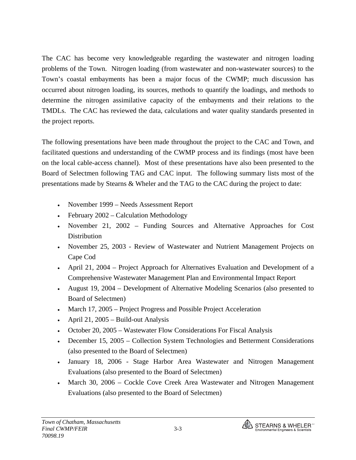The CAC has become very knowledgeable regarding the wastewater and nitrogen loading problems of the Town. Nitrogen loading (from wastewater and non-wastewater sources) to the Town's coastal embayments has been a major focus of the CWMP; much discussion has occurred about nitrogen loading, its sources, methods to quantify the loadings, and methods to determine the nitrogen assimilative capacity of the embayments and their relations to the TMDLs. The CAC has reviewed the data, calculations and water quality standards presented in the project reports.

The following presentations have been made throughout the project to the CAC and Town, and facilitated questions and understanding of the CWMP process and its findings (most have been on the local cable-access channel). Most of these presentations have also been presented to the Board of Selectmen following TAG and CAC input. The following summary lists most of the presentations made by Stearns & Wheler and the TAG to the CAC during the project to date:

- November 1999 Needs Assessment Report
- February 2002 Calculation Methodology
- November 21, 2002 Funding Sources and Alternative Approaches for Cost Distribution
- November 25, 2003 Review of Wastewater and Nutrient Management Projects on Cape Cod
- April 21, 2004 Project Approach for Alternatives Evaluation and Development of a Comprehensive Wastewater Management Plan and Environmental Impact Report
- August 19, 2004 Development of Alternative Modeling Scenarios (also presented to Board of Selectmen)
- March 17, 2005 Project Progress and Possible Project Acceleration
- April 21, 2005 Build-out Analysis
- October 20, 2005 Wastewater Flow Considerations For Fiscal Analysis
- December 15, 2005 Collection System Technologies and Betterment Considerations (also presented to the Board of Selectmen)
- January 18, 2006 Stage Harbor Area Wastewater and Nitrogen Management Evaluations (also presented to the Board of Selectmen)
- March 30, 2006 Cockle Cove Creek Area Wastewater and Nitrogen Management Evaluations (also presented to the Board of Selectmen)

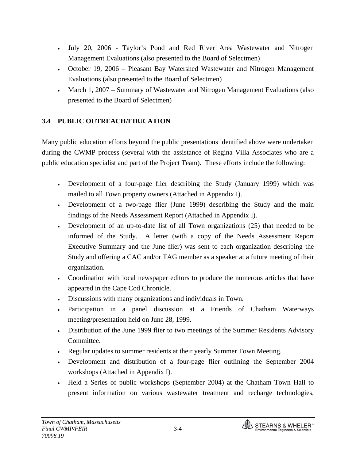- July 20, 2006 Taylor's Pond and Red River Area Wastewater and Nitrogen Management Evaluations (also presented to the Board of Selectmen)
- October 19, 2006 Pleasant Bay Watershed Wastewater and Nitrogen Management Evaluations (also presented to the Board of Selectmen)
- March 1, 2007 Summary of Wastewater and Nitrogen Management Evaluations (also presented to the Board of Selectmen)

### **3.4 PUBLIC OUTREACH/EDUCATION**

Many public education efforts beyond the public presentations identified above were undertaken during the CWMP process (several with the assistance of Regina Villa Associates who are a public education specialist and part of the Project Team). These efforts include the following:

- Development of a four-page flier describing the Study (January 1999) which was mailed to all Town property owners (Attached in Appendix I).
- Development of a two-page flier (June 1999) describing the Study and the main findings of the Needs Assessment Report (Attached in Appendix I).
- Development of an up-to-date list of all Town organizations (25) that needed to be informed of the Study. A letter (with a copy of the Needs Assessment Report Executive Summary and the June flier) was sent to each organization describing the Study and offering a CAC and/or TAG member as a speaker at a future meeting of their organization.
- Coordination with local newspaper editors to produce the numerous articles that have appeared in the Cape Cod Chronicle.
- Discussions with many organizations and individuals in Town.
- Participation in a panel discussion at a Friends of Chatham Waterways meeting/presentation held on June 28, 1999.
- Distribution of the June 1999 flier to two meetings of the Summer Residents Advisory Committee.
- Regular updates to summer residents at their yearly Summer Town Meeting.
- Development and distribution of a four-page flier outlining the September 2004 workshops (Attached in Appendix I).
- Held a Series of public workshops (September 2004) at the Chatham Town Hall to present information on various wastewater treatment and recharge technologies,